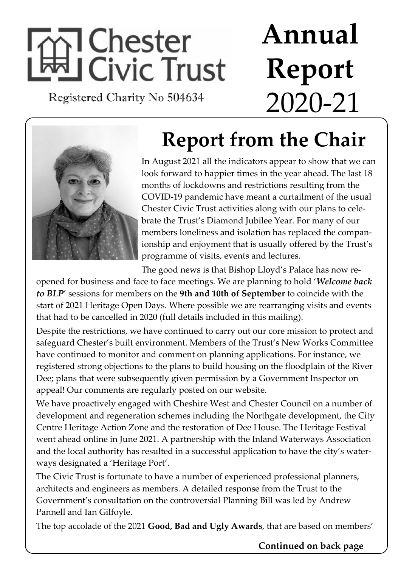# 1 Chester **Hi Civic Trust**

Registered Charity No 504634

# **Annual Report** 2020-21



### **Report from the Chair**

In August 2021 all the indicators appear to show that we can look forward to happier times in the year ahead. The last 18 months of lockdowns and restrictions resulting from the COVID-19 pandemic have meant a curtailment of the usual Chester Civic Trust activities along with our plans to celebrate the Trust's Diamond Jubilee Year. For many of our members loneliness and isolation has replaced the companionship and enjoyment that is usually offered by the Trust's programme of visits, events and lectures.

The good news is that Bishop Lloyd's Palace has now re-

opened for business and face to face meetings. We are planning to hold '*Welcome back to BLP*' sessions for members on the **9th and 10th of September** to coincide with the start of 2021 Heritage Open Days. Where possible we are rearranging visits and events that had to be cancelled in 2020 (full details included in this mailing).

Despite the restrictions, we have continued to carry out our core mission to protect and safeguard Chester's built environment. Members of the Trust's New Works Committee have continued to monitor and comment on planning applications. For instance, we registered strong objections to the plans to build housing on the floodplain of the River Dee; plans that were subsequently given permission by a Government Inspector on appeal! Our comments are regularly posted on our website.

We have proactively engaged with Cheshire West and Chester Council on a number of development and regeneration schemes including the Northgate development, the City Centre Heritage Action Zone and the restoration of Dee House. The Heritage Festival went ahead online in June 2021. A partnership with the Inland Waterways Association and the local authority has resulted in a successful application to have the city's waterways designated a 'Heritage Port'.

The Civic Trust is fortunate to have a number of experienced professional planners, architects and engineers as members. A detailed response from the Trust to the Government's consultation on the controversial Planning Bill was led by Andrew Pannell and Ian Gilfoyle.

The top accolade of the 2021 **Good, Bad and Ugly Awards**, that are based on members'

#### **Continued on back page**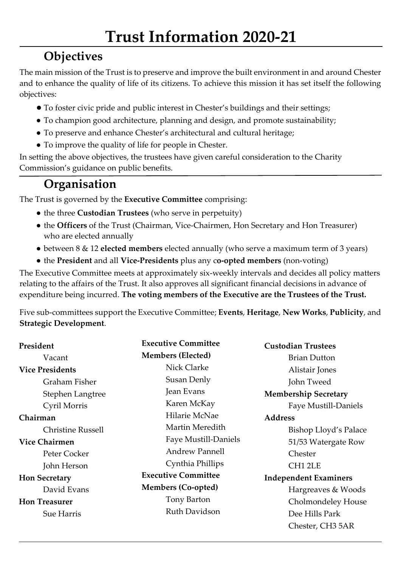#### **Objectives**

The main mission of the Trust is to preserve and improve the built environment in and around Chester and to enhance the quality of life of its citizens. To achieve this mission it has set itself the following objectives:

- To foster civic pride and public interest in Chester's buildings and their settings;
- To champion good architecture, planning and design, and promote sustainability;
- To preserve and enhance Chester's architectural and cultural heritage;
- To improve the quality of life for people in Chester.

In setting the above objectives, the trustees have given careful consideration to the Charity Commission's guidance on public benefits.

#### **Organisation**

The Trust is governed by the **Executive Committee** comprising:

- the three **Custodian Trustees** (who serve in perpetuity)
- the **Officers** of the Trust (Chairman, Vice-Chairmen, Hon Secretary and Hon Treasurer) who are elected annually
- between 8 & 12 **elected members** elected annually (who serve a maximum term of 3 years)
- the **President** and all **Vice-Presidents** plus any c**o-opted members** (non-voting)

The Executive Committee meets at approximately six-weekly intervals and decides all policy matters relating to the affairs of the Trust. It also approves all significant financial decisions in advance of expenditure being incurred. **The voting members of the Executive are the Trustees of the Trust.**

Five sub-committees support the Executive Committee; **Events**, **Heritage**, **New Works**, **Publicity**, and **Strategic Development**.

| President                | <b>Executive Committee</b>  | <b>Custodian Trustees</b>    |
|--------------------------|-----------------------------|------------------------------|
| Vacant                   | <b>Members (Elected)</b>    | <b>Brian Dutton</b>          |
| <b>Vice Presidents</b>   | Nick Clarke                 | Alistair Jones               |
| Graham Fisher            | Susan Denly                 | John Tweed                   |
| Stephen Langtree         | Jean Evans                  | <b>Membership Secretary</b>  |
| Cyril Morris             | Karen McKay                 | Faye Mustill-Daniels         |
| Chairman                 | Hilarie McNae               | <b>Address</b>               |
| <b>Christine Russell</b> | Martin Meredith             | Bishop Lloyd's Palace        |
| <b>Vice Chairmen</b>     | <b>Faye Mustill-Daniels</b> | 51/53 Watergate Row          |
| Peter Cocker             | <b>Andrew Pannell</b>       | Chester                      |
| John Herson              | Cynthia Phillips            | CH <sub>1</sub> 2LE          |
| <b>Hon Secretary</b>     | <b>Executive Committee</b>  | <b>Independent Examiners</b> |
| David Evans              | <b>Members (Co-opted)</b>   | Hargreaves & Woods           |
| <b>Hon Treasurer</b>     | Tony Barton                 | Cholmondeley House           |
| <b>Sue Harris</b>        | Ruth Davidson               | Dee Hills Park               |
|                          |                             | Chester, CH3 5AR             |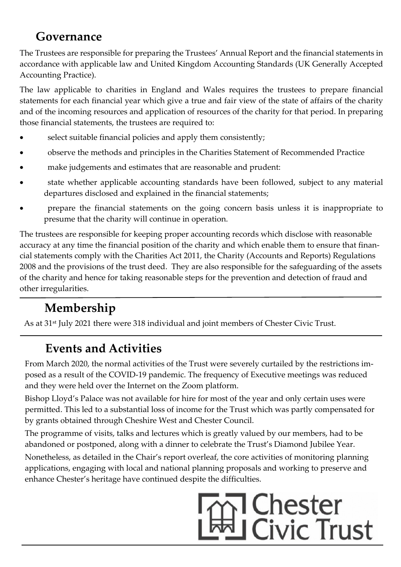#### **Governance**

The Trustees are responsible for preparing the Trustees' Annual Report and the financial statements in accordance with applicable law and United Kingdom Accounting Standards (UK Generally Accepted Accounting Practice).

The law applicable to charities in England and Wales requires the trustees to prepare financial statements for each financial year which give a true and fair view of the state of affairs of the charity and of the incoming resources and application of resources of the charity for that period. In preparing those financial statements, the trustees are required to:

- select suitable financial policies and apply them consistently;
- � observe the methods and principles in the Charities Statement of Recommended Practice
- make judgements and estimates that are reasonable and prudent:
- state whether applicable accounting standards have been followed, subject to any material departures disclosed and explained in the financial statements;
- � prepare the financial statements on the going concern basis unless it is inappropriate to presume that the charity will continue in operation.

The trustees are responsible for keeping proper accounting records which disclose with reasonable accuracy at any time the financial position of the charity and which enable them to ensure that financial statements comply with the Charities Act 2011, the Charity (Accounts and Reports) Regulations 2008 and the provisions of the trust deed. They are also responsible for the safeguarding of the assets of the charity and hence for taking reasonable steps for the prevention and detection of fraud and other irregularities.

#### **Membership**

As at 31<sup>st</sup> July 2021 there were 318 individual and joint members of Chester Civic Trust.

#### **Events and Activities**

From March 2020, the normal activities of the Trust were severely curtailed by the restrictions imposed as a result of the COVID-19 pandemic. The frequency of Executive meetings was reduced and they were held over the Internet on the Zoom platform.

Bishop Lloyd's Palace was not available for hire for most of the year and only certain uses were permitted. This led to a substantial loss of income for the Trust which was partly compensated for by grants obtained through Cheshire West and Chester Council.

The programme of visits, talks and lectures which is greatly valued by our members, had to be abandoned or postponed, along with a dinner to celebrate the Trust's Diamond Jubilee Year.

Nonetheless, as detailed in the Chair's report overleaf, the core activities of monitoring planning applications, engaging with local and national planning proposals and working to preserve and enhance Chester's heritage have continued despite the difficulties.

## **1 Chester I Civic Trust**